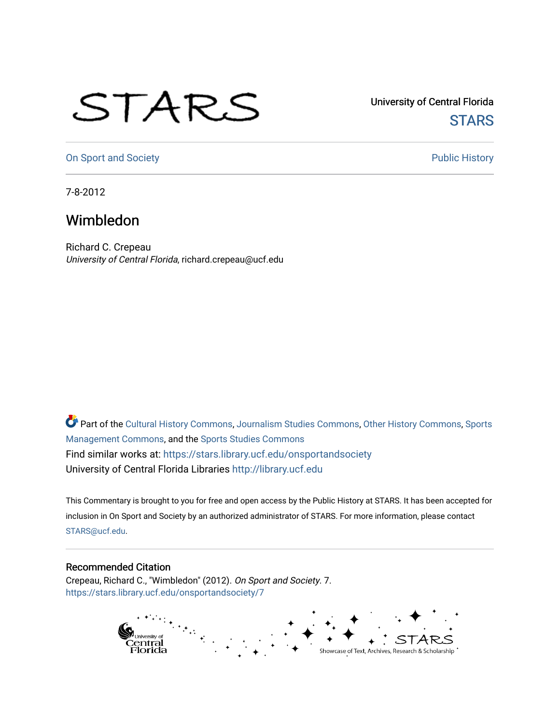## STARS

University of Central Florida **STARS** 

[On Sport and Society](https://stars.library.ucf.edu/onsportandsociety) **Public History** Public History

7-8-2012

## Wimbledon

Richard C. Crepeau University of Central Florida, richard.crepeau@ucf.edu

Part of the [Cultural History Commons](http://network.bepress.com/hgg/discipline/496?utm_source=stars.library.ucf.edu%2Fonsportandsociety%2F7&utm_medium=PDF&utm_campaign=PDFCoverPages), [Journalism Studies Commons,](http://network.bepress.com/hgg/discipline/333?utm_source=stars.library.ucf.edu%2Fonsportandsociety%2F7&utm_medium=PDF&utm_campaign=PDFCoverPages) [Other History Commons,](http://network.bepress.com/hgg/discipline/508?utm_source=stars.library.ucf.edu%2Fonsportandsociety%2F7&utm_medium=PDF&utm_campaign=PDFCoverPages) [Sports](http://network.bepress.com/hgg/discipline/1193?utm_source=stars.library.ucf.edu%2Fonsportandsociety%2F7&utm_medium=PDF&utm_campaign=PDFCoverPages) [Management Commons](http://network.bepress.com/hgg/discipline/1193?utm_source=stars.library.ucf.edu%2Fonsportandsociety%2F7&utm_medium=PDF&utm_campaign=PDFCoverPages), and the [Sports Studies Commons](http://network.bepress.com/hgg/discipline/1198?utm_source=stars.library.ucf.edu%2Fonsportandsociety%2F7&utm_medium=PDF&utm_campaign=PDFCoverPages) Find similar works at: <https://stars.library.ucf.edu/onsportandsociety> University of Central Florida Libraries [http://library.ucf.edu](http://library.ucf.edu/) 

This Commentary is brought to you for free and open access by the Public History at STARS. It has been accepted for inclusion in On Sport and Society by an authorized administrator of STARS. For more information, please contact [STARS@ucf.edu](mailto:STARS@ucf.edu).

## Recommended Citation

Crepeau, Richard C., "Wimbledon" (2012). On Sport and Society. 7. [https://stars.library.ucf.edu/onsportandsociety/7](https://stars.library.ucf.edu/onsportandsociety/7?utm_source=stars.library.ucf.edu%2Fonsportandsociety%2F7&utm_medium=PDF&utm_campaign=PDFCoverPages) 

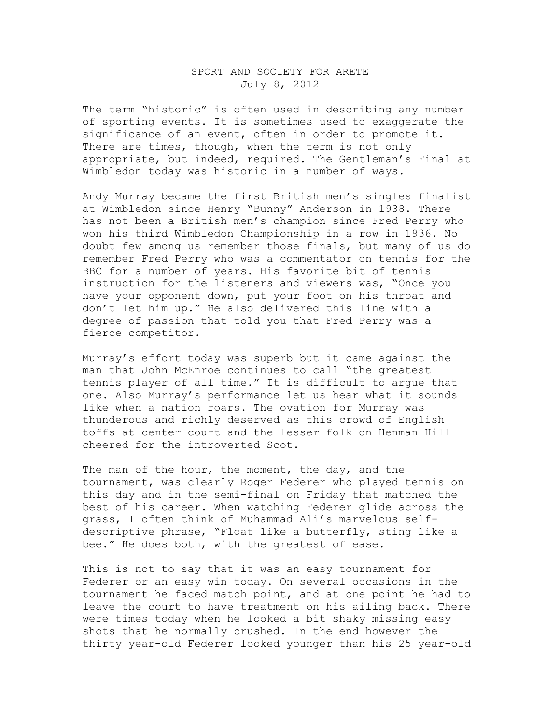## SPORT AND SOCIETY FOR ARETE July 8, 2012

The term "historic" is often used in describing any number of sporting events. It is sometimes used to exaggerate the significance of an event, often in order to promote it. There are times, though, when the term is not only appropriate, but indeed, required. The Gentleman's Final at Wimbledon today was historic in a number of ways.

Andy Murray became the first British men's singles finalist at Wimbledon since Henry "Bunny" Anderson in 1938. There has not been a British men's champion since Fred Perry who won his third Wimbledon Championship in a row in 1936. No doubt few among us remember those finals, but many of us do remember Fred Perry who was a commentator on tennis for the BBC for a number of years. His favorite bit of tennis instruction for the listeners and viewers was, "Once you have your opponent down, put your foot on his throat and don't let him up." He also delivered this line with a degree of passion that told you that Fred Perry was a fierce competitor.

Murray's effort today was superb but it came against the man that John McEnroe continues to call "the greatest tennis player of all time." It is difficult to argue that one. Also Murray's performance let us hear what it sounds like when a nation roars. The ovation for Murray was thunderous and richly deserved as this crowd of English toffs at center court and the lesser folk on Henman Hill cheered for the introverted Scot.

The man of the hour, the moment, the day, and the tournament, was clearly Roger Federer who played tennis on this day and in the semi-final on Friday that matched the best of his career. When watching Federer glide across the grass, I often think of Muhammad Ali's marvelous selfdescriptive phrase, "Float like a butterfly, sting like a bee." He does both, with the greatest of ease.

This is not to say that it was an easy tournament for Federer or an easy win today. On several occasions in the tournament he faced match point, and at one point he had to leave the court to have treatment on his ailing back. There were times today when he looked a bit shaky missing easy shots that he normally crushed. In the end however the thirty year-old Federer looked younger than his 25 year-old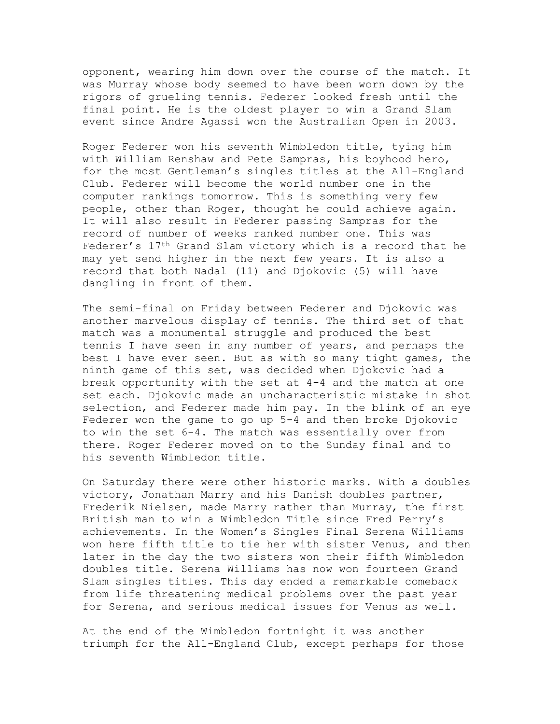opponent, wearing him down over the course of the match. It was Murray whose body seemed to have been worn down by the rigors of grueling tennis. Federer looked fresh until the final point. He is the oldest player to win a Grand Slam event since Andre Agassi won the Australian Open in 2003.

Roger Federer won his seventh Wimbledon title, tying him with William Renshaw and Pete Sampras, his boyhood hero, for the most Gentleman's singles titles at the All-England Club. Federer will become the world number one in the computer rankings tomorrow. This is something very few people, other than Roger, thought he could achieve again. It will also result in Federer passing Sampras for the record of number of weeks ranked number one. This was Federer's 17th Grand Slam victory which is a record that he may yet send higher in the next few years. It is also a record that both Nadal (11) and Djokovic (5) will have dangling in front of them.

The semi-final on Friday between Federer and Djokovic was another marvelous display of tennis. The third set of that match was a monumental struggle and produced the best tennis I have seen in any number of years, and perhaps the best I have ever seen. But as with so many tight games, the ninth game of this set, was decided when Djokovic had a break opportunity with the set at 4-4 and the match at one set each. Djokovic made an uncharacteristic mistake in shot selection, and Federer made him pay. In the blink of an eye Federer won the game to go up 5-4 and then broke Djokovic to win the set 6-4. The match was essentially over from there. Roger Federer moved on to the Sunday final and to his seventh Wimbledon title.

On Saturday there were other historic marks. With a doubles victory, Jonathan Marry and his Danish doubles partner, Frederik Nielsen, made Marry rather than Murray, the first British man to win a Wimbledon Title since Fred Perry's achievements. In the Women's Singles Final Serena Williams won here fifth title to tie her with sister Venus, and then later in the day the two sisters won their fifth Wimbledon doubles title. Serena Williams has now won fourteen Grand Slam singles titles. This day ended a remarkable comeback from life threatening medical problems over the past year for Serena, and serious medical issues for Venus as well.

At the end of the Wimbledon fortnight it was another triumph for the All-England Club, except perhaps for those